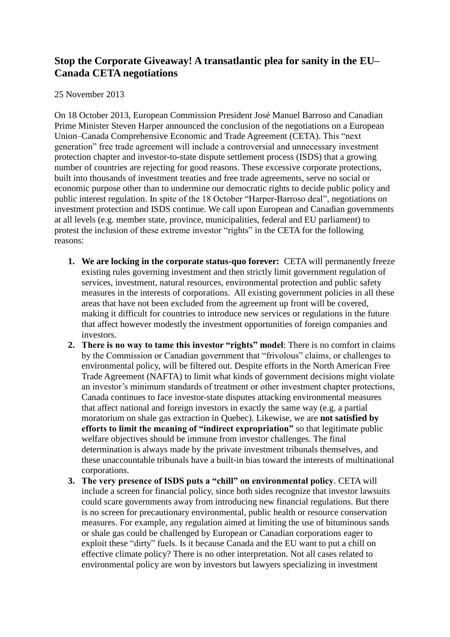## **Stop the Corporate Giveaway! A transatlantic plea for sanity in the EU– Canada CETA negotiations**

## 25 November 2013

On 18 October 2013, European Commission President José Manuel Barroso and Canadian Prime Minister Steven Harper announced the conclusion of the negotiations on a European Union–Canada Comprehensive Economic and Trade Agreement (CETA). This "next generation" free trade agreement will include a controversial and unnecessary investment protection chapter and investor-to-state dispute settlement process (ISDS) that a growing number of countries are rejecting for good reasons. These excessive corporate protections, built into thousands of investment treaties and free trade agreements, serve no social or economic purpose other than to undermine our democratic rights to decide public policy and public interest regulation. In spite of the 18 October "Harper-Barroso deal", negotiations on investment protection and ISDS continue. We call upon European and Canadian governments at all levels (e.g. member state, province, municipalities, federal and EU parliament) to protest the inclusion of these extreme investor "rights" in the CETA for the following reasons:

- **1. We are locking in the corporate status-quo forever:** CETA will permanently freeze existing rules governing investment and then strictly limit government regulation of services, investment, natural resources, environmental protection and public safety measures in the interests of corporations. All existing government policies in all these areas that have not been excluded from the agreement up front will be covered, making it difficult for countries to introduce new services or regulations in the future that affect however modestly the investment opportunities of foreign companies and investors.
- **2. There is no way to tame this investor "rights" model**: There is no comfort in claims by the Commission or Canadian government that "frivolous" claims, or challenges to environmental policy, will be filtered out. Despite efforts in the North American Free Trade Agreement (NAFTA) to limit what kinds of government decisions might violate an investor's minimum standards of treatment or other investment chapter protections, Canada continues to face investor-state disputes attacking environmental measures that affect national and foreign investors in exactly the same way (e.g. a partial moratorium on shale gas extraction in Quebec). Likewise, we are **not satisfied by efforts to limit the meaning of "indirect expropriation"** so that legitimate public welfare objectives should be immune from investor challenges. The final determination is always made by the private investment tribunals themselves, and these unaccountable tribunals have a built-in bias toward the interests of multinational corporations.
- **3. The very presence of ISDS puts a "chill" on environmental policy**. CETA will include a screen for financial policy, since both sides recognize that investor lawsuits could scare governments away from introducing new financial regulations. But there is no screen for precautionary environmental, public health or resource conservation measures. For example, any regulation aimed at limiting the use of bituminous sands or shale gas could be challenged by European or Canadian corporations eager to exploit these "dirty" fuels. Is it because Canada and the EU want to put a chill on effective climate policy? There is no other interpretation. Not all cases related to environmental policy are won by investors but lawyers specializing in investment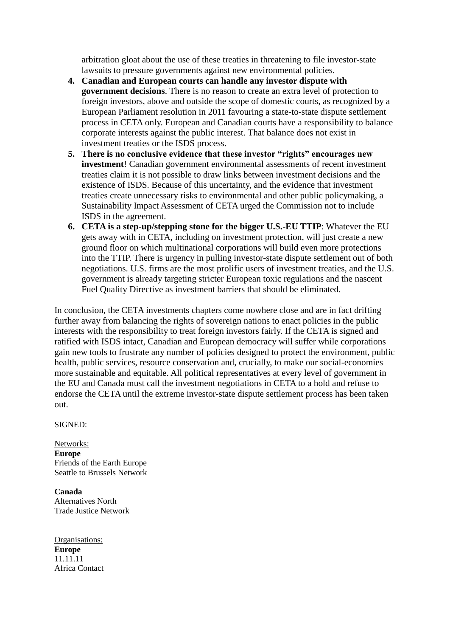arbitration gloat about the use of these treaties in threatening to file investor-state lawsuits to pressure governments against new environmental policies.

- **4. Canadian and European courts can handle any investor dispute with government decisions**. There is no reason to create an extra level of protection to foreign investors, above and outside the scope of domestic courts, as recognized by a European Parliament resolution in 2011 favouring a state-to-state dispute settlement process in CETA only. European and Canadian courts have a responsibility to balance corporate interests against the public interest. That balance does not exist in investment treaties or the ISDS process.
- **5. There is no conclusive evidence that these investor "rights" encourages new investment**! Canadian government environmental assessments of recent investment treaties claim it is not possible to draw links between investment decisions and the existence of ISDS. Because of this uncertainty, and the evidence that investment treaties create unnecessary risks to environmental and other public policymaking, a Sustainability Impact Assessment of CETA urged the Commission not to include ISDS in the agreement.
- **6. CETA is a step-up/stepping stone for the bigger U.S.-EU TTIP**: Whatever the EU gets away with in CETA, including on investment protection, will just create a new ground floor on which multinational corporations will build even more protections into the TTIP. There is urgency in pulling investor-state dispute settlement out of both negotiations. U.S. firms are the most prolific users of investment treaties, and the U.S. government is already targeting stricter European toxic regulations and the nascent Fuel Quality Directive as investment barriers that should be eliminated.

In conclusion, the CETA investments chapters come nowhere close and are in fact drifting further away from balancing the rights of sovereign nations to enact policies in the public interests with the responsibility to treat foreign investors fairly. If the CETA is signed and ratified with ISDS intact, Canadian and European democracy will suffer while corporations gain new tools to frustrate any number of policies designed to protect the environment, public health, public services, resource conservation and, crucially, to make our social-economies more sustainable and equitable. All political representatives at every level of government in the EU and Canada must call the investment negotiations in CETA to a hold and refuse to endorse the CETA until the extreme investor-state dispute settlement process has been taken out.

SIGNED:

Networks: **Europe** Friends of the Earth Europe Seattle to Brussels Network

**Canada** Alternatives North Trade Justice Network

Organisations: **Europe** 11.11.11 Africa Contact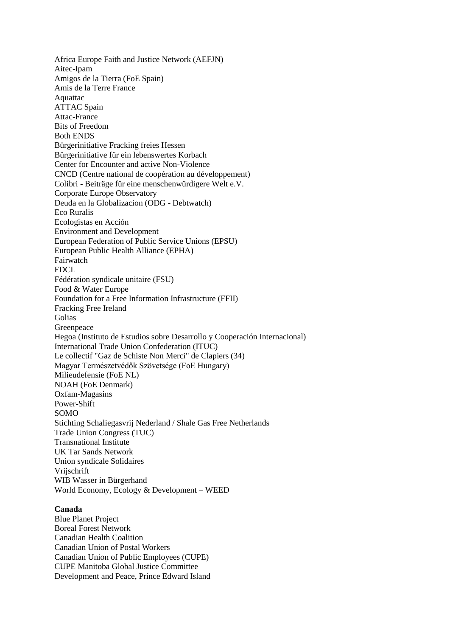Africa Europe Faith and Justice Network (AEFJN) Aitec-Ipam Amigos de la Tierra (FoE Spain) Amis de la Terre France Aquattac ATTAC Spain Attac-France Bits of Freedom Both ENDS Bürgerinitiative Fracking freies Hessen Bürgerinitiative für ein lebenswertes Korbach Center for Encounter and active Non-Violence CNCD (Centre national de coopération au développement) Colibri - Beiträge für eine menschenwürdigere Welt e.V. Corporate Europe Observatory Deuda en la Globalizacion (ODG - Debtwatch) Eco Ruralis Ecologistas en Acción Environment and Development European Federation of Public Service Unions (EPSU) European Public Health Alliance (EPHA) Fairwatch FDCL Fédération syndicale unitaire (FSU) Food & Water Europe Foundation for a Free Information Infrastructure (FFII) Fracking Free Ireland Golias Greenpeace Hegoa (Instituto de Estudios sobre Desarrollo y Cooperación Internacional) International Trade Union Confederation (ITUC) Le collectif "Gaz de Schiste Non Merci" de Clapiers (34) Magyar Természetvédők Szövetsége (FoE Hungary) Milieudefensie (FoE NL) NOAH (FoE Denmark) Oxfam-Magasins Power-Shift SOMO Stichting Schaliegasvrij Nederland / Shale Gas Free Netherlands Trade Union Congress (TUC) Transnational Institute UK Tar Sands Network Union syndicale Solidaires Vrijschrift WIB Wasser in Bürgerhand World Economy, Ecology & Development – WEED

## **Canada**

Blue Planet Project Boreal Forest Network Canadian Health Coalition Canadian Union of Postal Workers Canadian Union of Public Employees (CUPE) CUPE Manitoba Global Justice Committee Development and Peace, Prince Edward Island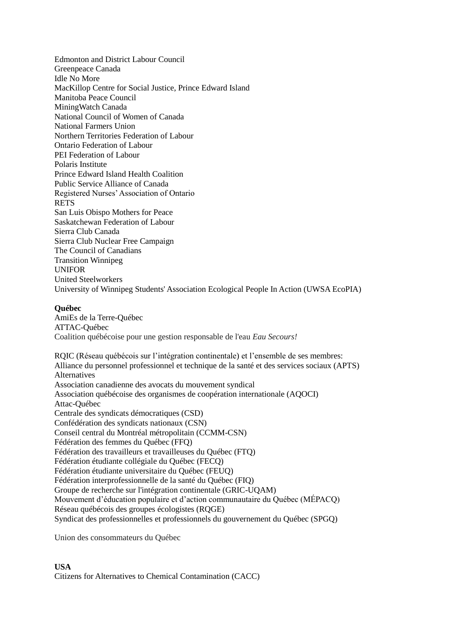Edmonton and District Labour Council Greenpeace Canada Idle No More MacKillop Centre for Social Justice, Prince Edward Island Manitoba Peace Council MiningWatch Canada National Council of Women of Canada National Farmers Union Northern Territories Federation of Labour Ontario Federation of Labour PEI Federation of Labour Polaris Institute Prince Edward Island Health Coalition Public Service Alliance of Canada Registered Nurses' Association of Ontario RETS San Luis Obispo Mothers for Peace Saskatchewan Federation of Labour Sierra Club Canada Sierra Club Nuclear Free Campaign The Council of Canadians Transition Winnipeg UNIFOR United Steelworkers University of Winnipeg Students' Association Ecological People In Action (UWSA EcoPIA)

## **Québec**

AmiEs de la Terre-Québec ATTAC-Québec Coalition québécoise pour une gestion responsable de l'eau *Eau Secours!*

RQIC (Réseau québécois sur l'intégration continentale) et l'ensemble de ses membres: Alliance du personnel professionnel et technique de la santé et des services sociaux (APTS) Alternatives Association canadienne des avocats du mouvement syndical Association québécoise des organismes de coopération internationale (AQOCI) Attac-Québec Centrale des syndicats démocratiques (CSD) Confédération des syndicats nationaux (CSN) Conseil central du Montréal métropolitain (CCMM-CSN) Fédération des femmes du Québec (FFQ) Fédération des travailleurs et travailleuses du Québec (FTQ) Fédération étudiante collégiale du Québec (FECQ) Fédération étudiante universitaire du Québec (FEUQ) Fédération interprofessionnelle de la santé du Québec (FIQ) Groupe de recherche sur l'intégration continentale (GRIC-UQAM) Mouvement d'éducation populaire et d'action communautaire du Québec (MÉPACQ) Réseau québécois des groupes écologistes (RQGE) Syndicat des professionnelles et professionnels du gouvernement du Québec (SPGQ)

Union des consommateurs du Québec